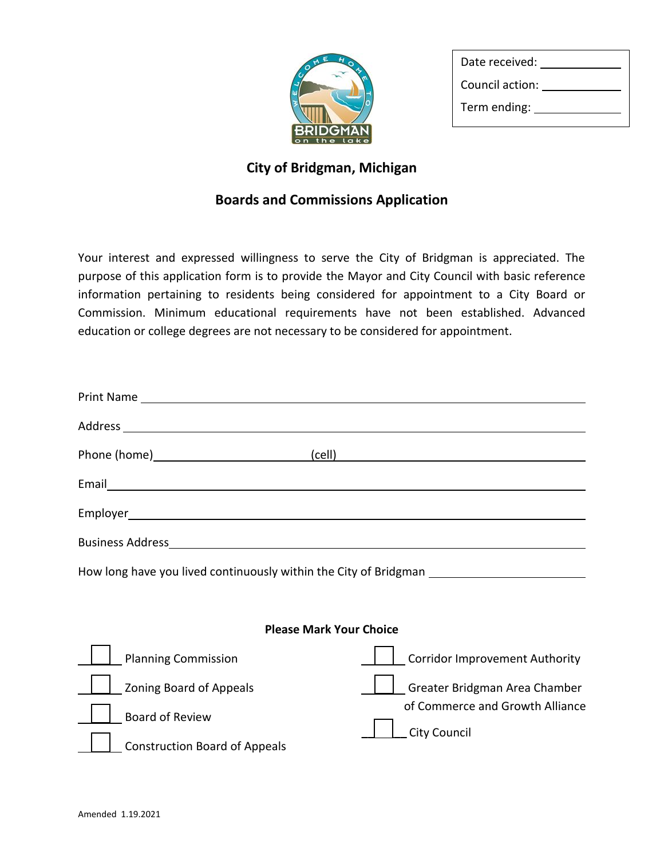

| Date received:  |  |
|-----------------|--|
| Council action: |  |
| Term ending:    |  |

## **City of Bridgman, Michigan**

## **Boards and Commissions Application**

Your interest and expressed willingness to serve the City of Bridgman is appreciated. The purpose of this application form is to provide the Mayor and City Council with basic reference information pertaining to residents being considered for appointment to a City Board or Commission. Minimum educational requirements have not been established. Advanced education or college degrees are not necessary to be considered for appointment.

| Phone (home) (cell)                  | <u> 1980 - Johann Barbara, martxa alemaniar argumento este alemaniar alemaniar alemaniar alemaniar alemaniar al</u> |  |
|--------------------------------------|---------------------------------------------------------------------------------------------------------------------|--|
|                                      |                                                                                                                     |  |
|                                      |                                                                                                                     |  |
|                                      |                                                                                                                     |  |
|                                      | How long have you lived continuously within the City of Bridgman ________________                                   |  |
|                                      |                                                                                                                     |  |
| <b>Please Mark Your Choice</b>       |                                                                                                                     |  |
| <b>Planning Commission</b>           | <b>Corridor Improvement Authority</b>                                                                               |  |
| <b>Zoning Board of Appeals</b>       | Greater Bridgman Area Chamber                                                                                       |  |
| <b>Board of Review</b>               | of Commerce and Growth Alliance                                                                                     |  |
| <b>Construction Board of Appeals</b> | <b>City Council</b>                                                                                                 |  |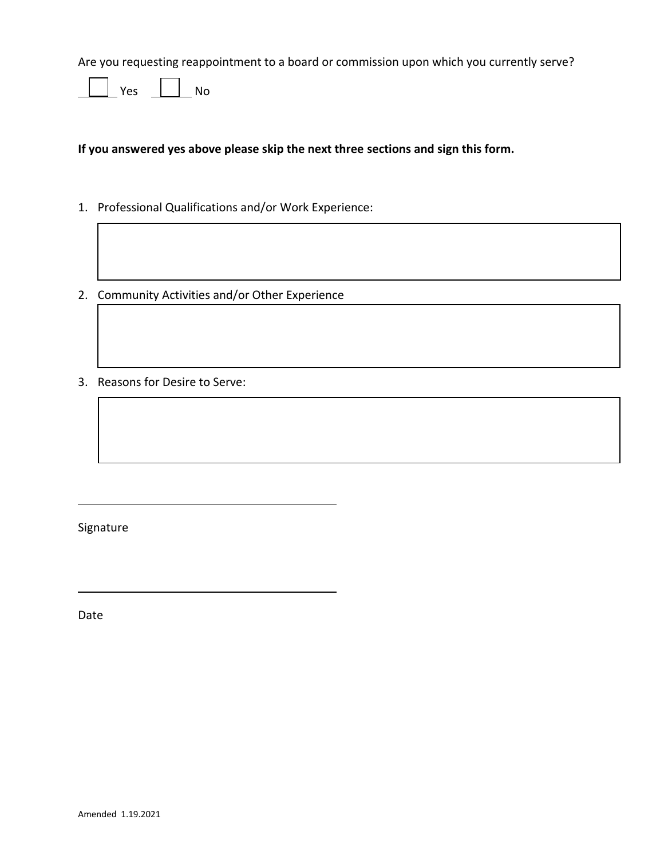Are you requesting reappointment to a board or commission upon which you currently serve?

 $\overline{\phantom{a}}$  Yes  $\overline{\phantom{a}}$  No

**If you answered yes above please skip the next three sections and sign this form.** 

- 1. Professional Qualifications and/or Work Experience:
- 2. Community Activities and/or Other Experience
- 3. Reasons for Desire to Serve:

Signature

Date